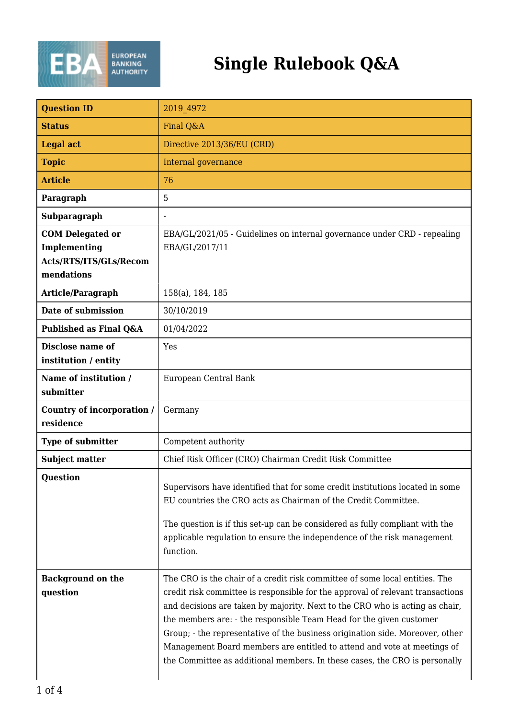

## **Single Rulebook Q&A**

| <b>Question ID</b>                                                              | 2019 4972                                                                                                                                                                                                                                                                                                                                                                                                                                                                                                                                                      |
|---------------------------------------------------------------------------------|----------------------------------------------------------------------------------------------------------------------------------------------------------------------------------------------------------------------------------------------------------------------------------------------------------------------------------------------------------------------------------------------------------------------------------------------------------------------------------------------------------------------------------------------------------------|
| <b>Status</b>                                                                   | Final Q&A                                                                                                                                                                                                                                                                                                                                                                                                                                                                                                                                                      |
| <b>Legal act</b>                                                                | Directive 2013/36/EU (CRD)                                                                                                                                                                                                                                                                                                                                                                                                                                                                                                                                     |
| <b>Topic</b>                                                                    | Internal governance                                                                                                                                                                                                                                                                                                                                                                                                                                                                                                                                            |
| <b>Article</b>                                                                  | 76                                                                                                                                                                                                                                                                                                                                                                                                                                                                                                                                                             |
| Paragraph                                                                       | 5                                                                                                                                                                                                                                                                                                                                                                                                                                                                                                                                                              |
| Subparagraph                                                                    | $\blacksquare$                                                                                                                                                                                                                                                                                                                                                                                                                                                                                                                                                 |
| <b>COM Delegated or</b><br>Implementing<br>Acts/RTS/ITS/GLs/Recom<br>mendations | EBA/GL/2021/05 - Guidelines on internal governance under CRD - repealing<br>EBA/GL/2017/11                                                                                                                                                                                                                                                                                                                                                                                                                                                                     |
| Article/Paragraph                                                               | 158(a), 184, 185                                                                                                                                                                                                                                                                                                                                                                                                                                                                                                                                               |
| Date of submission                                                              | 30/10/2019                                                                                                                                                                                                                                                                                                                                                                                                                                                                                                                                                     |
| Published as Final Q&A                                                          | 01/04/2022                                                                                                                                                                                                                                                                                                                                                                                                                                                                                                                                                     |
| <b>Disclose name of</b><br>institution / entity                                 | Yes                                                                                                                                                                                                                                                                                                                                                                                                                                                                                                                                                            |
| Name of institution /<br>submitter                                              | European Central Bank                                                                                                                                                                                                                                                                                                                                                                                                                                                                                                                                          |
| Country of incorporation /<br>residence                                         | Germany                                                                                                                                                                                                                                                                                                                                                                                                                                                                                                                                                        |
| Type of submitter                                                               | Competent authority                                                                                                                                                                                                                                                                                                                                                                                                                                                                                                                                            |
| <b>Subject matter</b>                                                           | Chief Risk Officer (CRO) Chairman Credit Risk Committee                                                                                                                                                                                                                                                                                                                                                                                                                                                                                                        |
| <b>Question</b>                                                                 | Supervisors have identified that for some credit institutions located in some<br>EU countries the CRO acts as Chairman of the Credit Committee.<br>The question is if this set-up can be considered as fully compliant with the<br>applicable regulation to ensure the independence of the risk management<br>function.                                                                                                                                                                                                                                        |
| <b>Background on the</b><br>question                                            | The CRO is the chair of a credit risk committee of some local entities. The<br>credit risk committee is responsible for the approval of relevant transactions<br>and decisions are taken by majority. Next to the CRO who is acting as chair,<br>the members are: - the responsible Team Head for the given customer<br>Group; - the representative of the business origination side. Moreover, other<br>Management Board members are entitled to attend and vote at meetings of<br>the Committee as additional members. In these cases, the CRO is personally |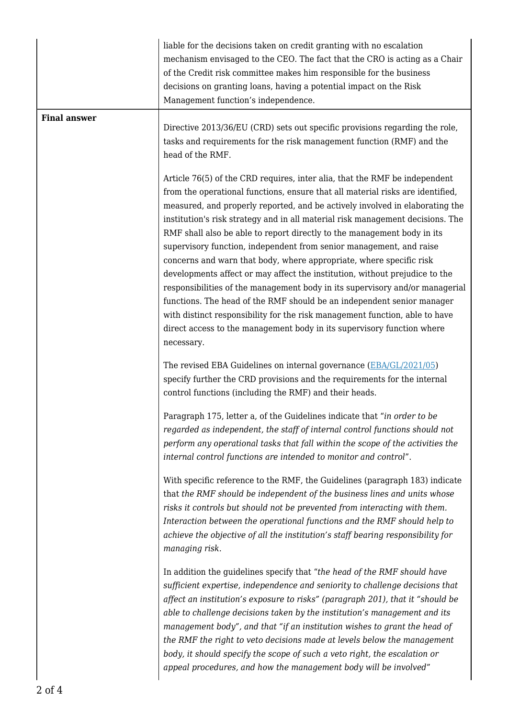|                     | liable for the decisions taken on credit granting with no escalation<br>mechanism envisaged to the CEO. The fact that the CRO is acting as a Chair<br>of the Credit risk committee makes him responsible for the business<br>decisions on granting loans, having a potential impact on the Risk<br>Management function's independence.                                                                                                                                                                                                                                                                                                                                                                                                                                                                                                                                                                                                                                  |
|---------------------|-------------------------------------------------------------------------------------------------------------------------------------------------------------------------------------------------------------------------------------------------------------------------------------------------------------------------------------------------------------------------------------------------------------------------------------------------------------------------------------------------------------------------------------------------------------------------------------------------------------------------------------------------------------------------------------------------------------------------------------------------------------------------------------------------------------------------------------------------------------------------------------------------------------------------------------------------------------------------|
| <b>Final answer</b> | Directive 2013/36/EU (CRD) sets out specific provisions regarding the role,<br>tasks and requirements for the risk management function (RMF) and the<br>head of the RMF.                                                                                                                                                                                                                                                                                                                                                                                                                                                                                                                                                                                                                                                                                                                                                                                                |
|                     | Article 76(5) of the CRD requires, inter alia, that the RMF be independent<br>from the operational functions, ensure that all material risks are identified,<br>measured, and properly reported, and be actively involved in elaborating the<br>institution's risk strategy and in all material risk management decisions. The<br>RMF shall also be able to report directly to the management body in its<br>supervisory function, independent from senior management, and raise<br>concerns and warn that body, where appropriate, where specific risk<br>developments affect or may affect the institution, without prejudice to the<br>responsibilities of the management body in its supervisory and/or managerial<br>functions. The head of the RMF should be an independent senior manager<br>with distinct responsibility for the risk management function, able to have<br>direct access to the management body in its supervisory function where<br>necessary. |
|                     | The revised EBA Guidelines on internal governance (EBA/GL/2021/05)<br>specify further the CRD provisions and the requirements for the internal<br>control functions (including the RMF) and their heads.                                                                                                                                                                                                                                                                                                                                                                                                                                                                                                                                                                                                                                                                                                                                                                |
|                     | Paragraph 175, letter a, of the Guidelines indicate that "in order to be<br>regarded as independent, the staff of internal control functions should not<br>perform any operational tasks that fall within the scope of the activities the<br>internal control functions are intended to monitor and control".                                                                                                                                                                                                                                                                                                                                                                                                                                                                                                                                                                                                                                                           |
|                     | With specific reference to the RMF, the Guidelines (paragraph 183) indicate<br>that the RMF should be independent of the business lines and units whose<br>risks it controls but should not be prevented from interacting with them.<br>Interaction between the operational functions and the RMF should help to<br>achieve the objective of all the institution's staff bearing responsibility for<br>managing risk.                                                                                                                                                                                                                                                                                                                                                                                                                                                                                                                                                   |
|                     | In addition the guidelines specify that "the head of the RMF should have<br>sufficient expertise, independence and seniority to challenge decisions that<br>affect an institution's exposure to risks" (paragraph 201), that it "should be<br>able to challenge decisions taken by the institution's management and its<br>management body", and that "if an institution wishes to grant the head of<br>the RMF the right to veto decisions made at levels below the management<br>body, it should specify the scope of such a veto right, the escalation or<br>appeal procedures, and how the management body will be involved"                                                                                                                                                                                                                                                                                                                                        |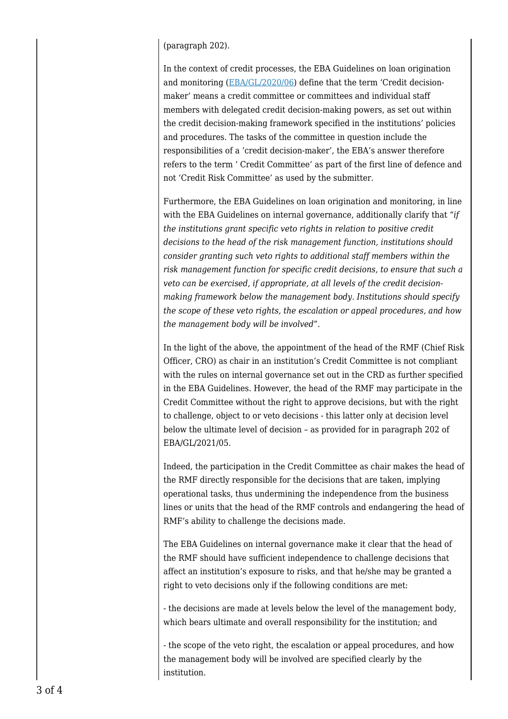## (paragraph 202).

In the context of credit processes, the EBA Guidelines on loan origination and monitoring [\(EBA/GL/2020/06](https://www.eba.europa.eu/sites/default/documents/files/document_library/Publications/Guidelines/2020/Guidelines%20on%20loan%20origination%20and%20monitoring/884283/EBA%20GL%202020%2006%20Final%20Report%20on%20GL%20on%20loan%20origination%20and%20monitoring.pdf)) define that the term 'Credit decisionmaker' means a credit committee or committees and individual staff members with delegated credit decision-making powers, as set out within the credit decision-making framework specified in the institutions' policies and procedures. The tasks of the committee in question include the responsibilities of a 'credit decision-maker', the EBA's answer therefore refers to the term ' Credit Committee' as part of the first line of defence and not 'Credit Risk Committee' as used by the submitter.

Furthermore, the EBA Guidelines on loan origination and monitoring, in line with the EBA Guidelines on internal governance, additionally clarify that "*if the institutions grant specific veto rights in relation to positive credit decisions to the head of the risk management function, institutions should consider granting such veto rights to additional staff members within the risk management function for specific credit decisions, to ensure that such a veto can be exercised, if appropriate, at all levels of the credit decisionmaking framework below the management body. Institutions should specify the scope of these veto rights, the escalation or appeal procedures, and how the management body will be involved*".

In the light of the above, the appointment of the head of the RMF (Chief Risk Officer, CRO) as chair in an institution's Credit Committee is not compliant with the rules on internal governance set out in the CRD as further specified in the EBA Guidelines. However, the head of the RMF may participate in the Credit Committee without the right to approve decisions, but with the right to challenge, object to or veto decisions - this latter only at decision level below the ultimate level of decision – as provided for in paragraph 202 of EBA/GL/2021/05.

Indeed, the participation in the Credit Committee as chair makes the head of the RMF directly responsible for the decisions that are taken, implying operational tasks, thus undermining the independence from the business lines or units that the head of the RMF controls and endangering the head of RMF's ability to challenge the decisions made.

The EBA Guidelines on internal governance make it clear that the head of the RMF should have sufficient independence to challenge decisions that affect an institution's exposure to risks, and that he/she may be granted a right to veto decisions only if the following conditions are met:

- the decisions are made at levels below the level of the management body, which bears ultimate and overall responsibility for the institution; and

- the scope of the veto right, the escalation or appeal procedures, and how the management body will be involved are specified clearly by the institution.